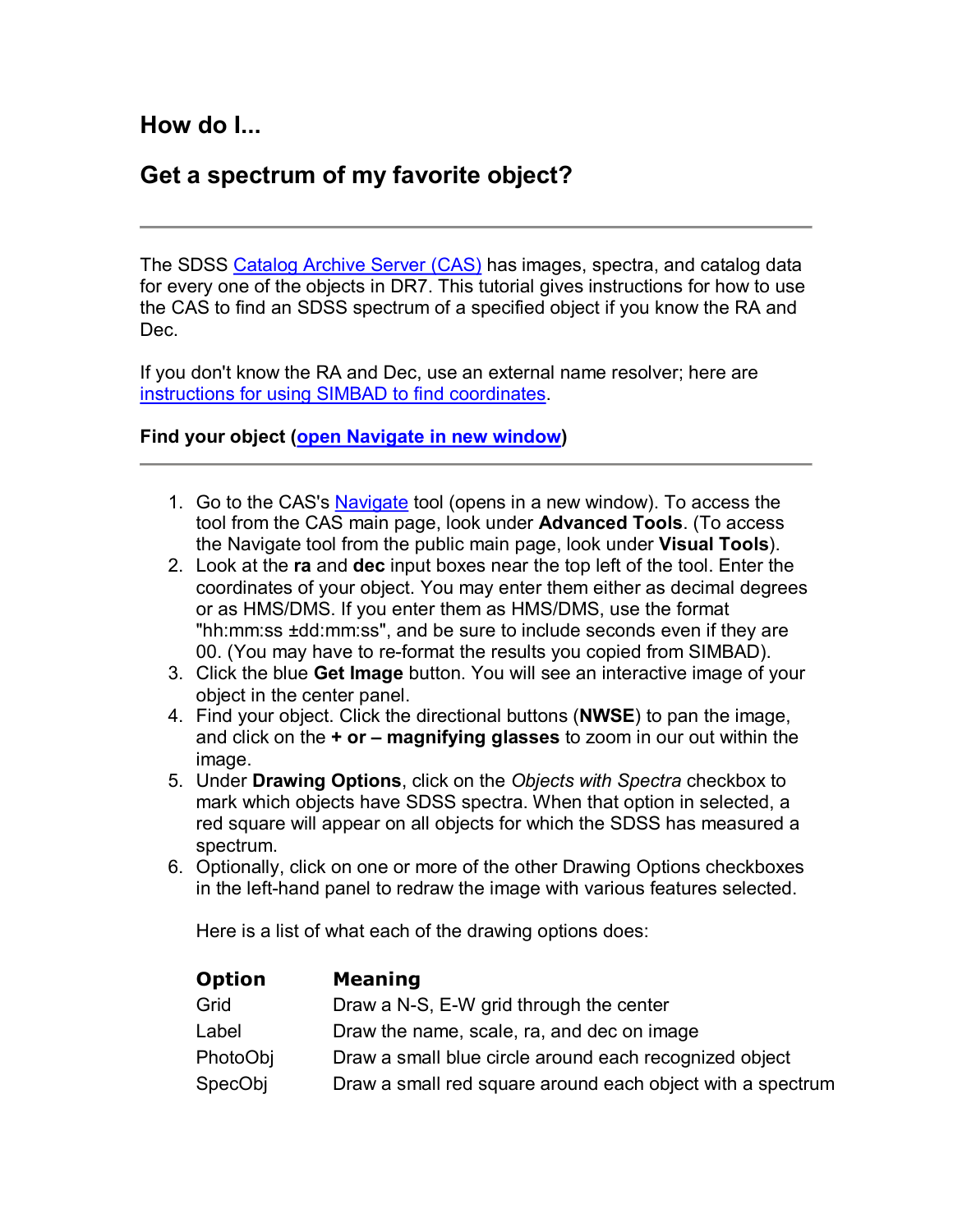**How do I...** 

## **Get a spectrum of my favorite object?**

The SDSS Catalog Archive Server (CAS) has images, spectra, and catalog data for every one of the objects in DR7. This tutorial gives instructions for how to use the CAS to find an SDSS spectrum of a specified object if you know the RA and Dec.

If you don't know the RA and Dec, use an external name resolver; here are instructions for using SIMBAD to find coordinates.

## **Find your object (open Navigate in new window)**

- 1. Go to the CAS's Navigate tool (opens in a new window). To access the tool from the CAS main page, look under **Advanced Tools**. (To access the Navigate tool from the public main page, look under **Visual Tools**).
- 2. Look at the **ra** and **dec** input boxes near the top left of the tool. Enter the coordinates of your object. You may enter them either as decimal degrees or as HMS/DMS. If you enter them as HMS/DMS, use the format "hh:mm:ss ±dd:mm:ss", and be sure to include seconds even if they are 00. (You may have to re-format the results you copied from SIMBAD).
- 3. Click the blue **Get Image** button. You will see an interactive image of your object in the center panel.
- 4. Find your object. Click the directional buttons (**NWSE**) to pan the image, and click on the **+ or – magnifying glasses** to zoom in our out within the image.
- 5. Under **Drawing Options**, click on the *Objects with Spectra* checkbox to mark which objects have SDSS spectra. When that option in selected, a red square will appear on all objects for which the SDSS has measured a spectrum.
- 6. Optionally, click on one or more of the other Drawing Options checkboxes in the left-hand panel to redraw the image with various features selected.

Here is a list of what each of the drawing options does:

| <b>Option</b> | <b>Meaning</b>                                             |
|---------------|------------------------------------------------------------|
| Grid          | Draw a N-S, E-W grid through the center                    |
| Label         | Draw the name, scale, ra, and dec on image                 |
| PhotoObj      | Draw a small blue circle around each recognized object     |
| SpecObj       | Draw a small red square around each object with a spectrum |